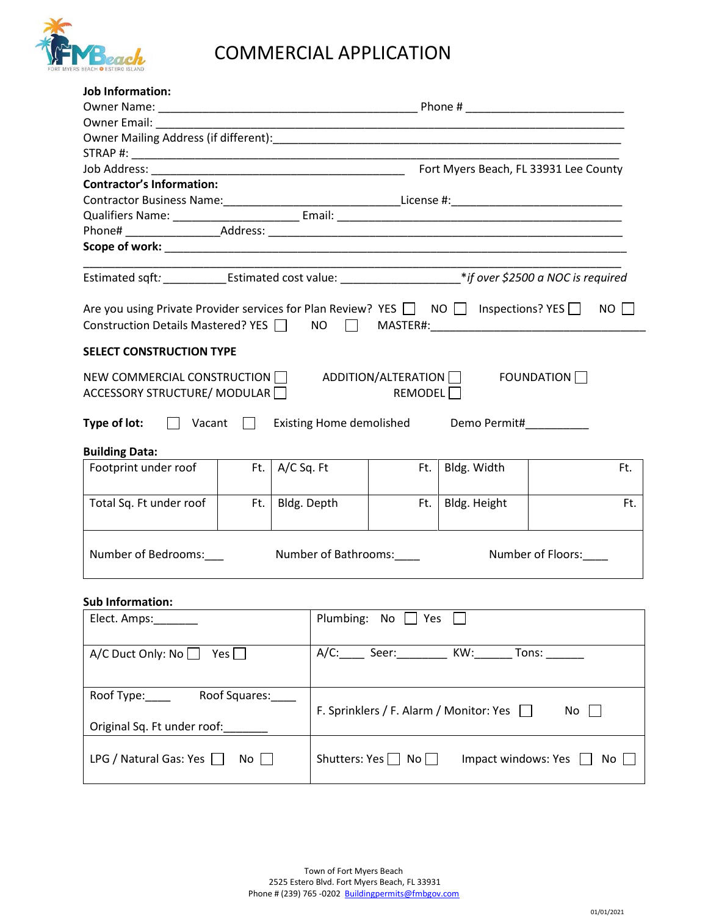

## COMMERCIAL APPLICATION

| Job Information:                                                                                                                                                                |                                               |                        |                                                                                                                |                      |                                                                                                                       |                                       |  |  |  |
|---------------------------------------------------------------------------------------------------------------------------------------------------------------------------------|-----------------------------------------------|------------------------|----------------------------------------------------------------------------------------------------------------|----------------------|-----------------------------------------------------------------------------------------------------------------------|---------------------------------------|--|--|--|
|                                                                                                                                                                                 |                                               |                        |                                                                                                                |                      |                                                                                                                       |                                       |  |  |  |
| <b>Owner Email:</b>                                                                                                                                                             |                                               |                        |                                                                                                                |                      | <u> 1989 - Johann John Stoff, deutscher Stoffen und der Stoffen und der Stoffen und der Stoffen und der Stoffen u</u> |                                       |  |  |  |
|                                                                                                                                                                                 |                                               |                        |                                                                                                                |                      |                                                                                                                       |                                       |  |  |  |
|                                                                                                                                                                                 |                                               |                        |                                                                                                                |                      |                                                                                                                       |                                       |  |  |  |
| Job Address: ___________                                                                                                                                                        |                                               |                        |                                                                                                                |                      |                                                                                                                       | Fort Myers Beach, FL 33931 Lee County |  |  |  |
| <b>Contractor's Information:</b>                                                                                                                                                |                                               |                        |                                                                                                                |                      |                                                                                                                       |                                       |  |  |  |
| Contractor Business Name:_________________________________License #:_______________________________                                                                             |                                               |                        |                                                                                                                |                      |                                                                                                                       |                                       |  |  |  |
|                                                                                                                                                                                 |                                               |                        |                                                                                                                |                      |                                                                                                                       |                                       |  |  |  |
|                                                                                                                                                                                 |                                               |                        |                                                                                                                |                      |                                                                                                                       |                                       |  |  |  |
|                                                                                                                                                                                 |                                               |                        |                                                                                                                |                      |                                                                                                                       |                                       |  |  |  |
|                                                                                                                                                                                 |                                               |                        |                                                                                                                |                      |                                                                                                                       |                                       |  |  |  |
|                                                                                                                                                                                 |                                               |                        | Estimated sqft: _______________Estimated cost value: ________________________*if over \$2500 a NOC is required |                      |                                                                                                                       |                                       |  |  |  |
|                                                                                                                                                                                 |                                               |                        |                                                                                                                |                      |                                                                                                                       | NO                                    |  |  |  |
| Are you using Private Provider services for Plan Review? YES $\Box$ NO $\Box$ Inspections? YES $\Box$<br>Construction Details Mastered? YES NO NO MASTER#: 1980 100 MASTER 2000 |                                               |                        |                                                                                                                |                      |                                                                                                                       |                                       |  |  |  |
|                                                                                                                                                                                 |                                               |                        |                                                                                                                |                      |                                                                                                                       |                                       |  |  |  |
| <b>SELECT CONSTRUCTION TYPE</b>                                                                                                                                                 |                                               |                        |                                                                                                                |                      |                                                                                                                       |                                       |  |  |  |
|                                                                                                                                                                                 |                                               |                        |                                                                                                                |                      |                                                                                                                       |                                       |  |  |  |
| NEW COMMERCIAL CONSTRUCTION                                                                                                                                                     |                                               |                        |                                                                                                                |                      | ADDITION/ALTERATION <b>FOUNDATION</b>                                                                                 |                                       |  |  |  |
| ACCESSORY STRUCTURE/ MODULAR                                                                                                                                                    |                                               |                        |                                                                                                                | REMODEL <sup>1</sup> |                                                                                                                       |                                       |  |  |  |
| Type of lot:<br>$\Box$ Vacant                                                                                                                                                   |                                               |                        | Existing Home demolished                                                                                       |                      | Demo Permit#__________                                                                                                |                                       |  |  |  |
| <b>Building Data:</b>                                                                                                                                                           |                                               |                        |                                                                                                                |                      |                                                                                                                       |                                       |  |  |  |
| Footprint under roof                                                                                                                                                            |                                               | Ft. $\vert$ A/C Sq. Ft |                                                                                                                | Ft.                  | Bldg. Width                                                                                                           | Ft.                                   |  |  |  |
|                                                                                                                                                                                 |                                               |                        |                                                                                                                |                      |                                                                                                                       |                                       |  |  |  |
| Total Sq. Ft under roof                                                                                                                                                         | Ft.                                           | Bldg. Depth            |                                                                                                                | Ft.                  | Bldg. Height                                                                                                          | Ft.                                   |  |  |  |
|                                                                                                                                                                                 |                                               |                        |                                                                                                                |                      |                                                                                                                       |                                       |  |  |  |
|                                                                                                                                                                                 |                                               |                        |                                                                                                                |                      |                                                                                                                       |                                       |  |  |  |
| Number of Bedrooms:<br>Number of Bathrooms:<br>Number of Floors:                                                                                                                |                                               |                        |                                                                                                                |                      |                                                                                                                       |                                       |  |  |  |
|                                                                                                                                                                                 |                                               |                        |                                                                                                                |                      |                                                                                                                       |                                       |  |  |  |
| <b>Sub Information:</b>                                                                                                                                                         |                                               |                        |                                                                                                                |                      |                                                                                                                       |                                       |  |  |  |
| Elect. Amps:                                                                                                                                                                    |                                               |                        | Plumbing: No $\Box$ Yes                                                                                        |                      |                                                                                                                       |                                       |  |  |  |
|                                                                                                                                                                                 |                                               |                        |                                                                                                                |                      |                                                                                                                       |                                       |  |  |  |
| A/C Duct Only: No $\Box$ Yes $\Box$                                                                                                                                             |                                               |                        | A/C: _____ Seer: _________ KW: _______ Tons: _______                                                           |                      |                                                                                                                       |                                       |  |  |  |
|                                                                                                                                                                                 |                                               |                        |                                                                                                                |                      |                                                                                                                       |                                       |  |  |  |
| Roof Squares:<br>Roof Type:____                                                                                                                                                 |                                               |                        |                                                                                                                |                      |                                                                                                                       |                                       |  |  |  |
|                                                                                                                                                                                 | F. Sprinklers / F. Alarm / Monitor: Yes<br>No |                        |                                                                                                                |                      |                                                                                                                       |                                       |  |  |  |
| Original Sq. Ft under roof:                                                                                                                                                     |                                               |                        |                                                                                                                |                      |                                                                                                                       |                                       |  |  |  |
|                                                                                                                                                                                 |                                               |                        |                                                                                                                |                      |                                                                                                                       |                                       |  |  |  |
| LPG / Natural Gas: Yes $\Box$<br>$No$                                                                                                                                           |                                               |                        | Shutters: Yes $\Box$ No $\Box$<br>Impact windows: Yes $\Box$<br>No                                             |                      |                                                                                                                       |                                       |  |  |  |